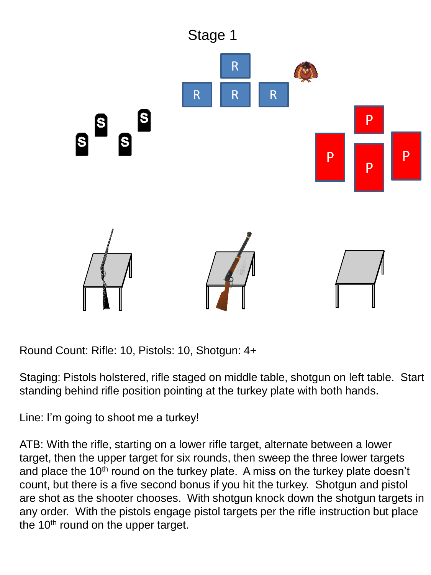

Staging: Pistols holstered, rifle staged on middle table, shotgun on left table. Start standing behind rifle position pointing at the turkey plate with both hands.

Line: I'm going to shoot me a turkey!

ATB: With the rifle, starting on a lower rifle target, alternate between a lower target, then the upper target for six rounds, then sweep the three lower targets and place the 10<sup>th</sup> round on the turkey plate. A miss on the turkey plate doesn't count, but there is a five second bonus if you hit the turkey. Shotgun and pistol are shot as the shooter chooses. With shotgun knock down the shotgun targets in any order. With the pistols engage pistol targets per the rifle instruction but place the  $10<sup>th</sup>$  round on the upper target.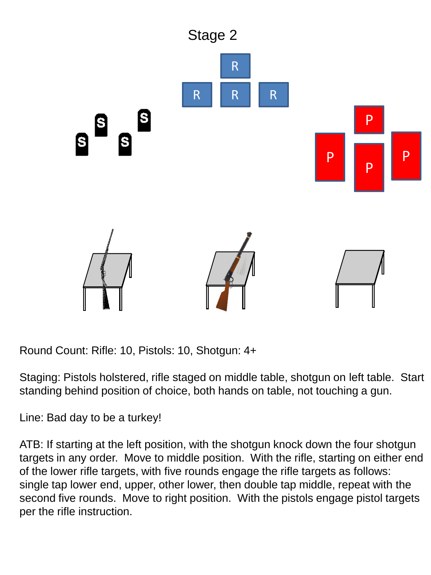

Staging: Pistols holstered, rifle staged on middle table, shotgun on left table. Start standing behind position of choice, both hands on table, not touching a gun.

Line: Bad day to be a turkey!

ATB: If starting at the left position, with the shotgun knock down the four shotgun targets in any order. Move to middle position. With the rifle, starting on either end of the lower rifle targets, with five rounds engage the rifle targets as follows: single tap lower end, upper, other lower, then double tap middle, repeat with the second five rounds. Move to right position. With the pistols engage pistol targets per the rifle instruction.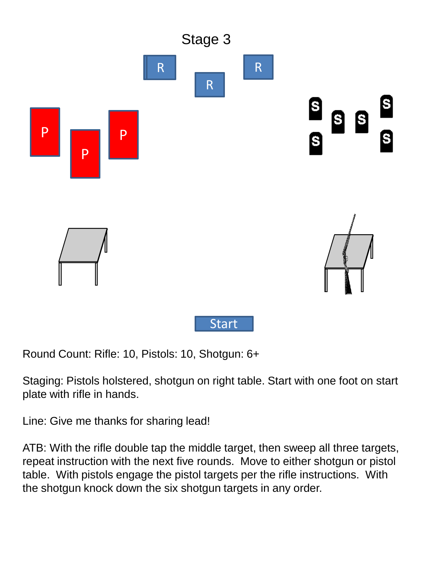

Staging: Pistols holstered, shotgun on right table. Start with one foot on start plate with rifle in hands.

Line: Give me thanks for sharing lead!

ATB: With the rifle double tap the middle target, then sweep all three targets, repeat instruction with the next five rounds. Move to either shotgun or pistol table. With pistols engage the pistol targets per the rifle instructions. With the shotgun knock down the six shotgun targets in any order.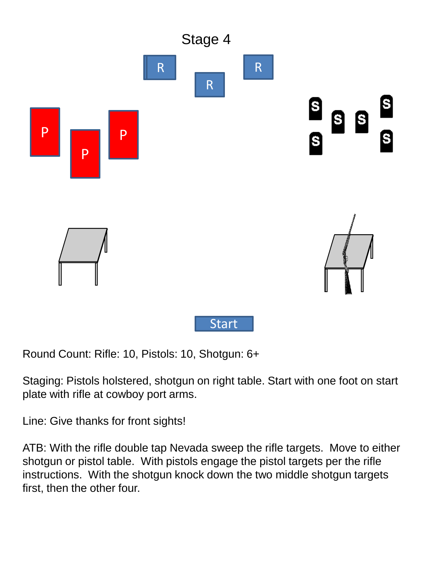

Staging: Pistols holstered, shotgun on right table. Start with one foot on start plate with rifle at cowboy port arms.

Line: Give thanks for front sights!

ATB: With the rifle double tap Nevada sweep the rifle targets. Move to either shotgun or pistol table. With pistols engage the pistol targets per the rifle instructions. With the shotgun knock down the two middle shotgun targets first, then the other four.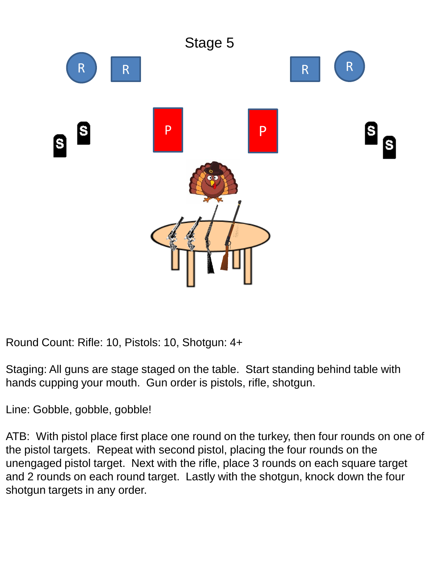

Staging: All guns are stage staged on the table. Start standing behind table with hands cupping your mouth. Gun order is pistols, rifle, shotgun.

Line: Gobble, gobble, gobble!

ATB: With pistol place first place one round on the turkey, then four rounds on one of the pistol targets. Repeat with second pistol, placing the four rounds on the unengaged pistol target. Next with the rifle, place 3 rounds on each square target and 2 rounds on each round target. Lastly with the shotgun, knock down the four shotgun targets in any order.